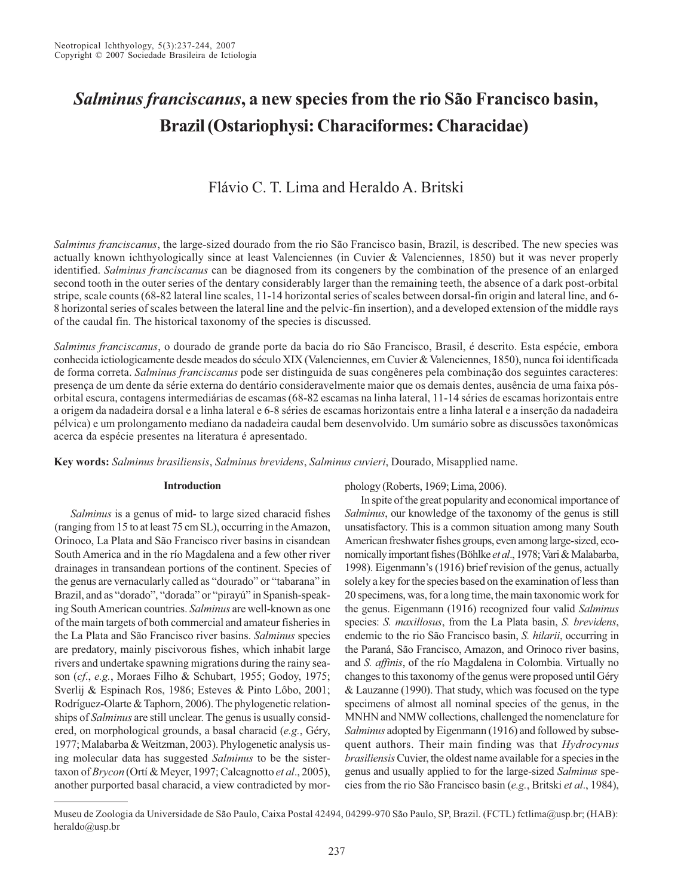# *Salminus franciscanus***, a new species from the rio São Francisco basin, Brazil (Ostariophysi: Characiformes: Characidae)**

# Flávio C. T. Lima and Heraldo A. Britski

*Salminus franciscanus*, the large-sized dourado from the rio São Francisco basin, Brazil, is described. The new species was actually known ichthyologically since at least Valenciennes (in Cuvier & Valenciennes, 1850) but it was never properly identified. *Salminus franciscanus* can be diagnosed from its congeners by the combination of the presence of an enlarged second tooth in the outer series of the dentary considerably larger than the remaining teeth, the absence of a dark post-orbital stripe, scale counts (68-82 lateral line scales, 11-14 horizontal series of scales between dorsal-fin origin and lateral line, and 6- 8 horizontal series of scales between the lateral line and the pelvic-fin insertion), and a developed extension of the middle rays of the caudal fin. The historical taxonomy of the species is discussed.

*Salminus franciscanus*, o dourado de grande porte da bacia do rio São Francisco, Brasil, é descrito. Esta espécie, embora conhecida ictiologicamente desde meados do século XIX (Valenciennes, em Cuvier & Valenciennes, 1850), nunca foi identificada de forma correta. *Salminus franciscanus* pode ser distinguida de suas congêneres pela combinação dos seguintes caracteres: presença de um dente da série externa do dentário consideravelmente maior que os demais dentes, ausência de uma faixa pósorbital escura, contagens intermediárias de escamas (68-82 escamas na linha lateral, 11-14 séries de escamas horizontais entre a origem da nadadeira dorsal e a linha lateral e 6-8 séries de escamas horizontais entre a linha lateral e a inserção da nadadeira pélvica) e um prolongamento mediano da nadadeira caudal bem desenvolvido. Um sumário sobre as discussões taxonômicas acerca da espécie presentes na literatura é apresentado.

**Key words:** *Salminus brasiliensis*, *Salminus brevidens*, *Salminus cuvieri*, Dourado, Misapplied name.

# **Introduction**

*Salminus* is a genus of mid- to large sized characid fishes (ranging from 15 to at least 75 cm SL), occurring in the Amazon, Orinoco, La Plata and São Francisco river basins in cisandean South America and in the río Magdalena and a few other river drainages in transandean portions of the continent. Species of the genus are vernacularly called as "dourado" or "tabarana" in Brazil, and as "dorado", "dorada" or "pirayú" in Spanish-speaking South American countries. *Salminus* are well-known as one of the main targets of both commercial and amateur fisheries in the La Plata and São Francisco river basins. *Salminus* species are predatory, mainly piscivorous fishes, which inhabit large rivers and undertake spawning migrations during the rainy season (*cf*., *e.g.*, Moraes Filho & Schubart, 1955; Godoy, 1975; Sverlij & Espinach Ros, 1986; Esteves & Pinto Lôbo, 2001; Rodríguez-Olarte & Taphorn, 2006). The phylogenetic relationships of *Salminus* are still unclear. The genus is usually considered, on morphological grounds, a basal characid (*e.g.*, Géry, 1977; Malabarba & Weitzman, 2003). Phylogenetic analysis using molecular data has suggested *Salminus* to be the sistertaxon of *Brycon* (Ortí & Meyer, 1997; Calcagnotto *et al*., 2005), another purported basal characid, a view contradicted by morphology (Roberts, 1969; Lima, 2006).

In spite of the great popularity and economical importance of *Salminus*, our knowledge of the taxonomy of the genus is still unsatisfactory. This is a common situation among many South American freshwater fishes groups, even among large-sized, economically important fishes (Böhlke *et al*., 1978; Vari & Malabarba, 1998). Eigenmann's (1916) brief revision of the genus, actually solely a key for the species based on the examination of less than 20 specimens, was, for a long time, the main taxonomic work for the genus. Eigenmann (1916) recognized four valid *Salminus* species: *S. maxillosus*, from the La Plata basin, *S. brevidens*, endemic to the rio São Francisco basin, *S. hilarii*, occurring in the Paraná, São Francisco, Amazon, and Orinoco river basins, and *S. affinis*, of the río Magdalena in Colombia. Virtually no changes to this taxonomy of the genus were proposed until Géry & Lauzanne (1990). That study, which was focused on the type specimens of almost all nominal species of the genus, in the MNHN and NMW collections, challenged the nomenclature for *Salminus* adopted by Eigenmann (1916) and followed by subsequent authors. Their main finding was that *Hydrocynus brasiliensis* Cuvier, the oldest name available for a species in the genus and usually applied to for the large-sized *Salminus* species from the rio São Francisco basin (*e.g.*, Britski *et al*., 1984),

Museu de Zoologia da Universidade de São Paulo, Caixa Postal 42494, 04299-970 São Paulo, SP, Brazil. (FCTL) fctlima@usp.br; (HAB): heraldo@usp.br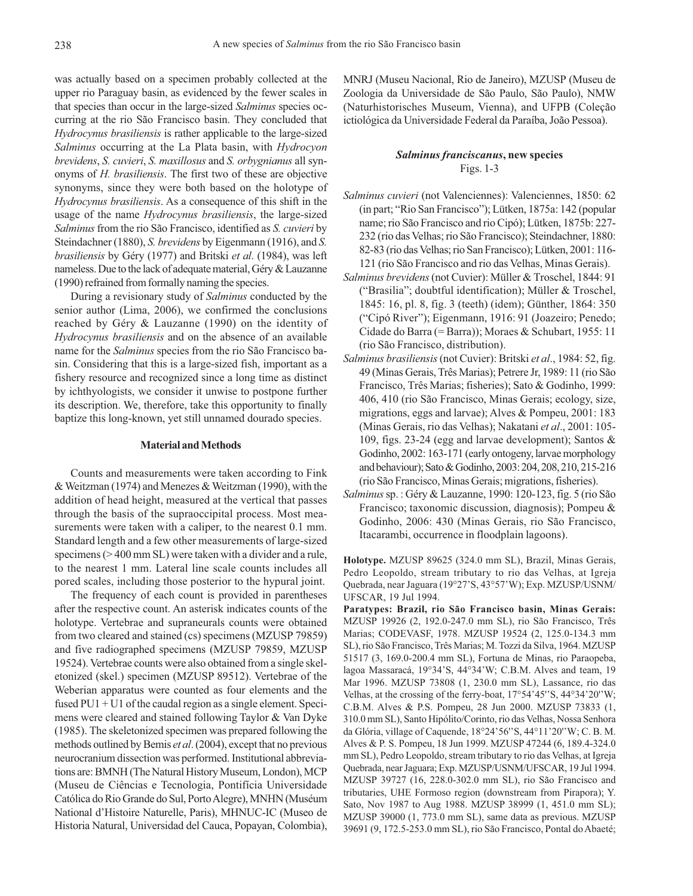was actually based on a specimen probably collected at the upper rio Paraguay basin, as evidenced by the fewer scales in that species than occur in the large-sized *Salminus* species occurring at the rio São Francisco basin. They concluded that *Hydrocynus brasiliensis* is rather applicable to the large-sized *Salminus* occurring at the La Plata basin, with *Hydrocyon brevidens*, *S. cuvieri*, *S. maxillosus* and *S. orbygnianus* all synonyms of *H. brasiliensis*. The first two of these are objective synonyms, since they were both based on the holotype of *Hydrocynus brasiliensis*. As a consequence of this shift in the usage of the name *Hydrocynus brasiliensis*, the large-sized *Salminus* from the rio São Francisco, identified as *S. cuvieri* by Steindachner (1880), *S. brevidens* by Eigenmann (1916), and *S. brasiliensis* by Géry (1977) and Britski *et al*. (1984), was left nameless. Due to the lack of adequate material, Géry & Lauzanne (1990) refrained from formally naming the species.

During a revisionary study of *Salminus* conducted by the senior author (Lima, 2006), we confirmed the conclusions reached by Géry & Lauzanne (1990) on the identity of *Hydrocynus brasiliensis* and on the absence of an available name for the *Salminus* species from the rio São Francisco basin. Considering that this is a large-sized fish, important as a fishery resource and recognized since a long time as distinct by ichthyologists, we consider it unwise to postpone further its description. We, therefore, take this opportunity to finally baptize this long-known, yet still unnamed dourado species.

# **Material and Methods**

Counts and measurements were taken according to Fink & Weitzman (1974) and Menezes & Weitzman (1990), with the addition of head height, measured at the vertical that passes through the basis of the supraoccipital process. Most measurements were taken with a caliper, to the nearest 0.1 mm. Standard length and a few other measurements of large-sized specimens ( $> 400$  mm SL) were taken with a divider and a rule, to the nearest 1 mm. Lateral line scale counts includes all pored scales, including those posterior to the hypural joint.

The frequency of each count is provided in parentheses after the respective count. An asterisk indicates counts of the holotype. Vertebrae and supraneurals counts were obtained from two cleared and stained (cs) specimens (MZUSP 79859) and five radiographed specimens (MZUSP 79859, MZUSP 19524). Vertebrae counts were also obtained from a single skeletonized (skel.) specimen (MZUSP 89512). Vertebrae of the Weberian apparatus were counted as four elements and the fused PU1 + U1 of the caudal region as a single element. Specimens were cleared and stained following Taylor & Van Dyke (1985). The skeletonized specimen was prepared following the methods outlined by Bemis *et al*. (2004), except that no previous neurocranium dissection was performed. Institutional abbreviations are: BMNH (The Natural History Museum, London), MCP (Museu de Ciências e Tecnologia, Pontifícia Universidade Católica do Rio Grande do Sul, Porto Alegre), MNHN (Muséum National d'Histoire Naturelle, Paris), MHNUC-IC (Museo de Historia Natural, Universidad del Cauca, Popayan, Colombia), MNRJ (Museu Nacional, Rio de Janeiro), MZUSP (Museu de Zoologia da Universidade de São Paulo, São Paulo), NMW (Naturhistorisches Museum, Vienna), and UFPB (Coleção ictiológica da Universidade Federal da Paraíba, João Pessoa).

# *Salminus franciscanus***, new species** Figs. 1-3

- *Salminus cuvieri* (not Valenciennes): Valenciennes, 1850: 62 (in part; "Rio San Francisco"); Lütken, 1875a: 142 (popular name; rio São Francisco and rio Cipó); Lütken, 1875b: 227- 232 (rio das Velhas; rio São Francisco); Steindachner, 1880: 82-83 (rio das Velhas; rio San Francisco); Lütken, 2001: 116- 121 (rio São Francisco and rio das Velhas, Minas Gerais).
- *Salminus brevidens* (not Cuvier): Müller & Troschel, 1844: 91 ("Brasilia"; doubtful identification); Müller & Troschel, 1845: 16, pl. 8, fig. 3 (teeth) (idem); Günther, 1864: 350 ("Cipó River"); Eigenmann, 1916: 91 (Joazeiro; Penedo; Cidade do Barra (= Barra)); Moraes & Schubart, 1955: 11 (rio São Francisco, distribution).
- *Salminus brasiliensis* (not Cuvier): Britski *et al*., 1984: 52, fig. 49 (Minas Gerais, Três Marias); Petrere Jr, 1989: 11 (rio São Francisco, Três Marias; fisheries); Sato & Godinho, 1999: 406, 410 (rio São Francisco, Minas Gerais; ecology, size, migrations, eggs and larvae); Alves & Pompeu, 2001: 183 (Minas Gerais, rio das Velhas); Nakatani *et al*., 2001: 105- 109, figs. 23-24 (egg and larvae development); Santos & Godinho, 2002: 163-171 (early ontogeny, larvae morphology and behaviour); Sato & Godinho, 2003: 204, 208, 210, 215-216 (rio São Francisco, Minas Gerais; migrations, fisheries).
- *Salminus* sp. : Géry & Lauzanne, 1990: 120-123, fig. 5 (rio São Francisco; taxonomic discussion, diagnosis); Pompeu & Godinho, 2006: 430 (Minas Gerais, rio São Francisco, Itacarambi, occurrence in floodplain lagoons).

**Holotype.** MZUSP 89625 (324.0 mm SL), Brazil, Minas Gerais, Pedro Leopoldo, stream tributary to rio das Velhas, at Igreja Quebrada, near Jaguara (19°27'S, 43°57'W); Exp. MZUSP/USNM/ UFSCAR, 19 Jul 1994.

**Paratypes: Brazil, rio São Francisco basin, Minas Gerais:** MZUSP 19926 (2, 192.0-247.0 mm SL), rio São Francisco, Três Marias; CODEVASF, 1978. MZUSP 19524 (2, 125.0-134.3 mm SL), rio São Francisco, Três Marias; M. Tozzi da Silva, 1964. MZUSP 51517 (3, 169.0-200.4 mm SL), Fortuna de Minas, rio Paraopeba, lagoa Massaracá, 19°34'S, 44°34'W; C.B.M. Alves and team, 19 Mar 1996. MZUSP 73808 (1, 230.0 mm SL), Lassance, rio das Velhas, at the crossing of the ferry-boat, 17°54'45''S, 44°34'20''W; C.B.M. Alves & P.S. Pompeu, 28 Jun 2000. MZUSP 73833 (1, 310.0 mm SL), Santo Hipólito/Corinto, rio das Velhas, Nossa Senhora da Glória, village of Caquende, 18°24'56''S, 44°11'20''W; C. B. M. Alves & P. S. Pompeu, 18 Jun 1999. MZUSP 47244 (6, 189.4-324.0 mm SL), Pedro Leopoldo, stream tributary to rio das Velhas, at Igreja Quebrada, near Jaguara; Exp. MZUSP/USNM/UFSCAR, 19 Jul 1994. MZUSP 39727 (16, 228.0-302.0 mm SL), rio São Francisco and tributaries, UHE Formoso region (downstream from Pirapora); Y. Sato, Nov 1987 to Aug 1988. MZUSP 38999 (1, 451.0 mm SL); MZUSP 39000 (1, 773.0 mm SL), same data as previous. MZUSP 39691 (9, 172.5-253.0 mm SL), rio São Francisco, Pontal do Abaeté;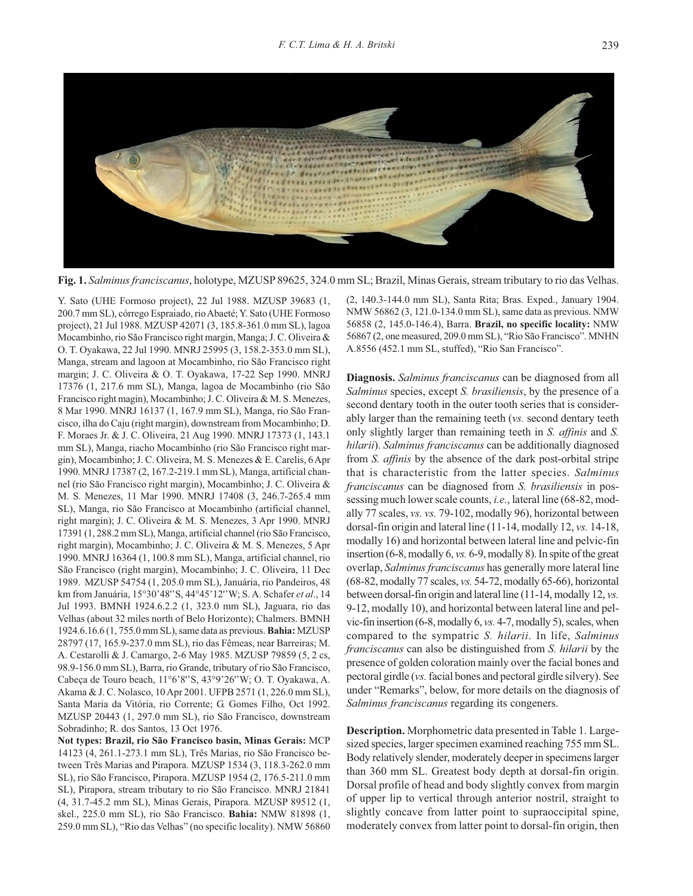

**Fig. 1.** *Salminus franciscanus*, holotype, MZUSP 89625, 324.0 mm SL; Brazil, Minas Gerais, stream tributary to rio das Velhas.

Y. Sato (UHE Formoso project), 22 Jul 1988. MZUSP 39683 (1, 200.7 mm SL), córrego Espraiado, rio Abaeté; Y. Sato (UHE Formoso project), 21 Jul 1988. MZUSP 42071 (3, 185.8-361.0 mm SL), lagoa Mocambinho, rio São Francisco right margin, Manga; J. C. Oliveira & O. T. Oyakawa, 22 Jul 1990. MNRJ 25995 (3, 158.2-353.0 mm SL), Manga, stream and lagoon at Mocambinho, rio São Francisco right margin; J. C. Oliveira & O. T. Oyakawa, 17-22 Sep 1990. MNRJ 17376 (1, 217.6 mm SL), Manga, lagoa de Mocambinho (rio São Francisco right magin), Mocambinho; J. C. Oliveira & M. S. Menezes, 8 Mar 1990. MNRJ 16137 (1, 167.9 mm SL), Manga, rio São Francisco, ilha do Caju (right margin), downstream from Mocambinho; D. F. Moraes Jr. & J. C. Oliveira, 21 Aug 1990. MNRJ 17373 (1, 143.1 mm SL), Manga, riacho Mocambinho (rio São Francisco right margin), Mocambinho; J. C. Oliveira, M. S. Menezes & E. Carelis, 6 Apr 1990. MNRJ 17387 (2, 167.2-219.1 mm SL), Manga, artificial channel (rio São Francisco right margin), Mocambinho; J. C. Oliveira & M. S. Menezes, 11 Mar 1990. MNRJ 17408 (3, 246.7-265.4 mm SL), Manga, rio São Francisco at Mocambinho (artificial channel, right margin); J. C. Oliveira & M. S. Menezes, 3 Apr 1990. MNRJ 17391 (1, 288.2 mm SL), Manga, artificial channel (rio São Francisco, right margin), Mocambinho; J. C. Oliveira & M. S. Menezes, 5 Apr 1990. MNRJ 16364 (1, 100.8 mm SL), Manga, artificial channel, rio São Francisco (right margin), Mocambinho; J. C. Oliveira, 11 Dec 1989. MZUSP 54754 (1, 205.0 mm SL), Januária, rio Pandeiros, 48 km from Januária, 15°30'48''S, 44°45'12''W; S. A. Schafer *et al*., 14 Jul 1993. BMNH 1924.6.2.2 (1, 323.0 mm SL), Jaguara, rio das Velhas (about 32 miles north of Belo Horizonte); Chalmers. BMNH 1924.6.16.6 (1, 755.0 mm SL), same data as previous. **Bahia:** MZUSP 28797 (17, 165.9-237.0 mm SL), rio das Fêmeas, near Barreiras; M. A. Cestarolli & J. Camargo, 2-6 May 1985. MZUSP 79859 (5, 2 cs, 98.9-156.0 mm SL), Barra, rio Grande, tributary of rio São Francisco, Cabeça de Touro beach, 11°6'8''S, 43°9'26''W; O. T. Oyakawa, A. Akama & J. C. Nolasco, 10 Apr 2001. UFPB 2571 (1, 226.0 mm SL), Santa Maria da Vitória, rio Corrente; G. Gomes Filho, Oct 1992. MZUSP 20443 (1, 297.0 mm SL), rio São Francisco, downstream Sobradinho; R. dos Santos, 13 Oct 1976.

**Not types: Brazil, rio São Francisco basin, Minas Gerais:** MCP 14123 (4, 261.1-273.1 mm SL), Três Marias, rio São Francisco between Três Marias and Pirapora. MZUSP 1534 (3, 118.3-262.0 mm SL), rio São Francisco, Pirapora. MZUSP 1954 (2, 176.5-211.0 mm SL), Pirapora, stream tributary to rio São Francisco. MNRJ 21841 (4, 31.7-45.2 mm SL), Minas Gerais, Pirapora. MZUSP 89512 (1, skel., 225.0 mm SL), rio São Francisco. **Bahia:** NMW 81898 (1, 259.0 mm SL), "Rio das Velhas" (no specific locality). NMW 56860

(2, 140.3-144.0 mm SL), Santa Rita; Bras. Exped., January 1904. NMW 56862 (3, 121.0-134.0 mm SL), same data as previous. NMW 56858 (2, 145.0-146.4), Barra. **Brazil, no specific locality:** NMW 56867 (2, one measured, 209.0 mm SL), "Rio São Francisco". MNHN A.8556 (452.1 mm SL, stuffed), "Rio San Francisco".

**Diagnosis.** *Salminus franciscanus* can be diagnosed from all *Salminus* species, except *S. brasiliensis*, by the presence of a second dentary tooth in the outer tooth series that is considerably larger than the remaining teeth (*vs.* second dentary teeth only slightly larger than remaining teeth in *S. affinis* and *S. hilarii*). *Salminus franciscanus* can be additionally diagnosed from *S. affinis* by the absence of the dark post-orbital stripe that is characteristic from the latter species. *Salminus franciscanus* can be diagnosed from *S. brasiliensis* in possessing much lower scale counts, *i.e.*, lateral line (68-82, modally 77 scales, *vs. vs.* 79-102, modally 96), horizontal between dorsal-fin origin and lateral line (11-14, modally 12, *vs.* 14-18, modally 16) and horizontal between lateral line and pelvic-fin insertion (6-8, modally 6, *vs.* 6-9, modally 8). In spite of the great overlap, *Salminus franciscanus* has generally more lateral line (68-82, modally 77 scales, *vs.* 54-72, modally 65-66), horizontal between dorsal-fin origin and lateral line (11-14, modally 12, *vs.* 9-12, modally 10), and horizontal between lateral line and pelvic-fin insertion (6-8, modally 6, *vs.* 4-7, modally 5), scales, when compared to the sympatric *S. hilarii*. In life, *Salminus franciscanus* can also be distinguished from *S. hilarii* by the presence of golden coloration mainly over the facial bones and pectoral girdle (*vs.* facial bones and pectoral girdle silvery). See under "Remarks", below, for more details on the diagnosis of *Salminus franciscanus* regarding its congeners.

**Description.** Morphometric data presented in Table 1. Largesized species, larger specimen examined reaching 755 mm SL. Body relatively slender, moderately deeper in specimens larger than 360 mm SL. Greatest body depth at dorsal-fin origin. Dorsal profile of head and body slightly convex from margin of upper lip to vertical through anterior nostril, straight to slightly concave from latter point to supraoccipital spine, moderately convex from latter point to dorsal-fin origin, then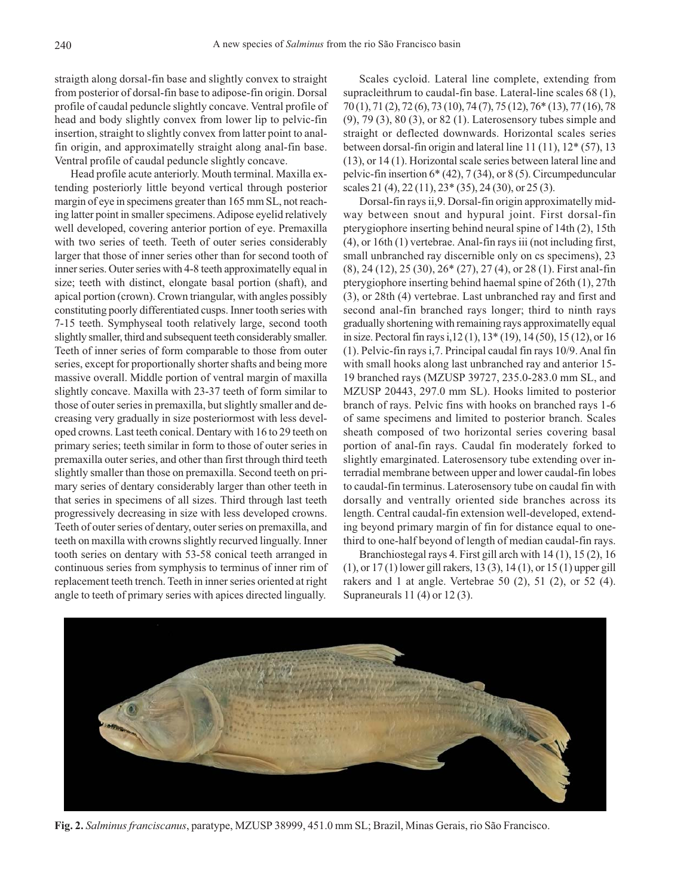straigth along dorsal-fin base and slightly convex to straight from posterior of dorsal-fin base to adipose-fin origin. Dorsal profile of caudal peduncle slightly concave. Ventral profile of head and body slightly convex from lower lip to pelvic-fin insertion, straight to slightly convex from latter point to analfin origin, and approximatelly straight along anal-fin base. Ventral profile of caudal peduncle slightly concave.

Head profile acute anteriorly. Mouth terminal. Maxilla extending posteriorly little beyond vertical through posterior margin of eye in specimens greater than 165 mm SL, not reaching latter point in smaller specimens. Adipose eyelid relatively well developed, covering anterior portion of eye. Premaxilla with two series of teeth. Teeth of outer series considerably larger that those of inner series other than for second tooth of inner series. Outer series with 4-8 teeth approximatelly equal in size; teeth with distinct, elongate basal portion (shaft), and apical portion (crown). Crown triangular, with angles possibly constituting poorly differentiated cusps. Inner tooth series with 7-15 teeth. Symphyseal tooth relatively large, second tooth slightly smaller, third and subsequent teeth considerably smaller. Teeth of inner series of form comparable to those from outer series, except for proportionally shorter shafts and being more massive overall. Middle portion of ventral margin of maxilla slightly concave. Maxilla with 23-37 teeth of form similar to those of outer series in premaxilla, but slightly smaller and decreasing very gradually in size posteriormost with less developed crowns. Last teeth conical. Dentary with 16 to 29 teeth on primary series; teeth similar in form to those of outer series in premaxilla outer series, and other than first through third teeth slightly smaller than those on premaxilla. Second teeth on primary series of dentary considerably larger than other teeth in that series in specimens of all sizes. Third through last teeth progressively decreasing in size with less developed crowns. Teeth of outer series of dentary, outer series on premaxilla, and teeth on maxilla with crowns slightly recurved lingually. Inner tooth series on dentary with 53-58 conical teeth arranged in continuous series from symphysis to terminus of inner rim of replacement teeth trench. Teeth in inner series oriented at right angle to teeth of primary series with apices directed lingually.

Scales cycloid. Lateral line complete, extending from supracleithrum to caudal-fin base. Lateral-line scales 68 (1), 70 (1), 71 (2), 72 (6), 73 (10), 74 (7), 75 (12), 76\* (13), 77 (16), 78 (9), 79 (3), 80 (3), or 82 (1). Laterosensory tubes simple and straight or deflected downwards. Horizontal scales series between dorsal-fin origin and lateral line 11 (11), 12\* (57), 13 (13), or 14 (1). Horizontal scale series between lateral line and pelvic-fin insertion 6\* (42), 7 (34), or 8 (5). Circumpeduncular scales 21 (4), 22 (11), 23<sup>\*</sup> (35), 24 (30), or 25 (3).

Dorsal-fin rays ii,9. Dorsal-fin origin approximatelly midway between snout and hypural joint. First dorsal-fin pterygiophore inserting behind neural spine of 14th (2), 15th (4), or 16th (1) vertebrae. Anal-fin rays iii (not including first, small unbranched ray discernible only on cs specimens), 23 (8), 24 (12), 25 (30), 26\* (27), 27 (4), or 28 (1). First anal-fin pterygiophore inserting behind haemal spine of 26th (1), 27th (3), or 28th (4) vertebrae. Last unbranched ray and first and second anal-fin branched rays longer; third to ninth rays gradually shortening with remaining rays approximatelly equal in size. Pectoral fin rays i,12 (1), 13\* (19), 14 (50), 15 (12), or 16 (1). Pelvic-fin rays i,7. Principal caudal fin rays 10/9. Anal fin with small hooks along last unbranched ray and anterior 15- 19 branched rays (MZUSP 39727, 235.0-283.0 mm SL, and MZUSP 20443, 297.0 mm SL). Hooks limited to posterior branch of rays. Pelvic fins with hooks on branched rays 1-6 of same specimens and limited to posterior branch. Scales sheath composed of two horizontal series covering basal portion of anal-fin rays. Caudal fin moderately forked to slightly emarginated. Laterosensory tube extending over interradial membrane between upper and lower caudal-fin lobes to caudal-fin terminus. Laterosensory tube on caudal fin with dorsally and ventrally oriented side branches across its length. Central caudal-fin extension well-developed, extending beyond primary margin of fin for distance equal to onethird to one-half beyond of length of median caudal-fin rays.

Branchiostegal rays 4. First gill arch with 14 (1), 15 (2), 16 (1), or 17 (1) lower gill rakers, 13 (3), 14 (1), or 15 (1) upper gill rakers and 1 at angle. Vertebrae 50 (2), 51 (2), or 52 (4). Supraneurals 11 (4) or 12 (3).



**Fig. 2.** *Salminus franciscanus*, paratype, MZUSP 38999, 451.0 mm SL; Brazil, Minas Gerais, rio São Francisco.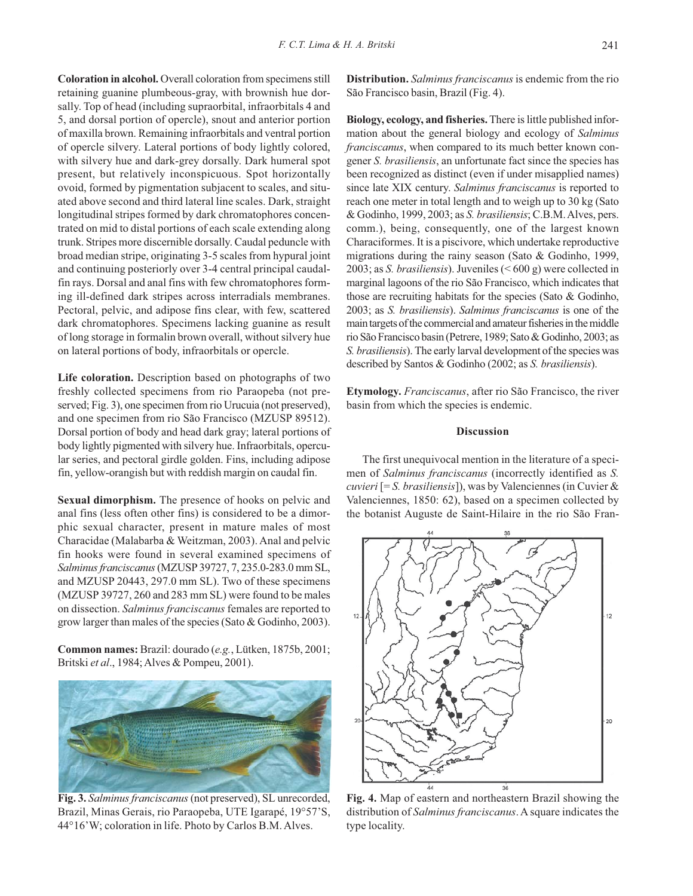**Coloration in alcohol.** Overall coloration from specimens still retaining guanine plumbeous-gray, with brownish hue dorsally. Top of head (including supraorbital, infraorbitals 4 and 5, and dorsal portion of opercle), snout and anterior portion of maxilla brown. Remaining infraorbitals and ventral portion of opercle silvery. Lateral portions of body lightly colored, with silvery hue and dark-grey dorsally. Dark humeral spot present, but relatively inconspicuous. Spot horizontally ovoid, formed by pigmentation subjacent to scales, and situated above second and third lateral line scales. Dark, straight longitudinal stripes formed by dark chromatophores concentrated on mid to distal portions of each scale extending along trunk. Stripes more discernible dorsally. Caudal peduncle with broad median stripe, originating 3-5 scales from hypural joint and continuing posteriorly over 3-4 central principal caudalfin rays. Dorsal and anal fins with few chromatophores forming ill-defined dark stripes across interradials membranes. Pectoral, pelvic, and adipose fins clear, with few, scattered dark chromatophores. Specimens lacking guanine as result of long storage in formalin brown overall, without silvery hue on lateral portions of body, infraorbitals or opercle.

**Life coloration.** Description based on photographs of two freshly collected specimens from rio Paraopeba (not preserved; Fig. 3), one specimen from rio Urucuia (not preserved), and one specimen from rio São Francisco (MZUSP 89512). Dorsal portion of body and head dark gray; lateral portions of body lightly pigmented with silvery hue. Infraorbitals, opercular series, and pectoral girdle golden. Fins, including adipose fin, yellow-orangish but with reddish margin on caudal fin.

**Sexual dimorphism.** The presence of hooks on pelvic and anal fins (less often other fins) is considered to be a dimorphic sexual character, present in mature males of most Characidae (Malabarba & Weitzman, 2003). Anal and pelvic fin hooks were found in several examined specimens of *Salminus franciscanus* (MZUSP 39727, 7, 235.0-283.0 mm SL, and MZUSP 20443, 297.0 mm SL). Two of these specimens (MZUSP 39727, 260 and 283 mm SL) were found to be males on dissection. *Salminus franciscanus* females are reported to grow larger than males of the species (Sato & Godinho, 2003).

**Common names:** Brazil: dourado (*e.g.*, Lütken, 1875b, 2001; Britski *et al*., 1984; Alves & Pompeu, 2001).



**Fig. 3.** *Salminus franciscanus* (not preserved), SL unrecorded, Brazil, Minas Gerais, rio Paraopeba, UTE Igarapé, 19°57'S, 44°16'W; coloration in life. Photo by Carlos B.M. Alves.

**Distribution.** *Salminus franciscanus* is endemic from the rio São Francisco basin, Brazil (Fig. 4).

**Biology, ecology, and fisheries.** There is little published information about the general biology and ecology of *Salminus franciscanus*, when compared to its much better known congener *S. brasiliensis*, an unfortunate fact since the species has been recognized as distinct (even if under misapplied names) since late XIX century. *Salminus franciscanus* is reported to reach one meter in total length and to weigh up to 30 kg (Sato & Godinho, 1999, 2003; as *S. brasiliensis*; C.B.M. Alves, pers. comm.), being, consequently, one of the largest known Characiformes. It is a piscivore, which undertake reproductive migrations during the rainy season (Sato & Godinho, 1999, 2003; as *S. brasiliensis*). Juveniles (< 600 g) were collected in marginal lagoons of the rio São Francisco, which indicates that those are recruiting habitats for the species (Sato & Godinho, 2003; as *S. brasiliensis*). *Salminus franciscanus* is one of the main targets of the commercial and amateur fisheries in the middle rio São Francisco basin (Petrere, 1989; Sato & Godinho, 2003; as *S. brasiliensis*). The early larval development of the species was described by Santos & Godinho (2002; as *S. brasiliensis*).

**Etymology.** *Franciscanus*, after rio São Francisco, the river basin from which the species is endemic.

# **Discussion**

The first unequivocal mention in the literature of a specimen of *Salminus franciscanus* (incorrectly identified as *S. cuvieri* [= *S. brasiliensis*]), was by Valenciennes (in Cuvier & Valenciennes, 1850: 62), based on a specimen collected by the botanist Auguste de Saint-Hilaire in the rio São Fran-



**Fig. 4.** Map of eastern and northeastern Brazil showing the distribution of *Salminus franciscanus*. A square indicates the type locality.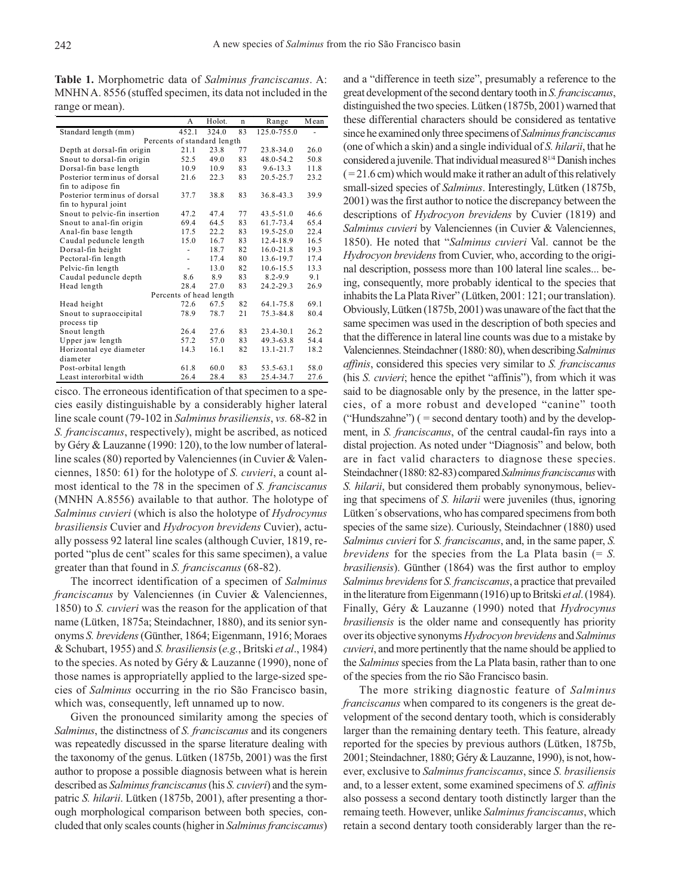**Table 1.** Morphometric data of *Salminus franciscanus*. A: MNHN A. 8556 (stuffed specimen, its data not included in the range or mean).

|                               | A      | Holot. | $\mathbf n$ | Range         | Mean |
|-------------------------------|--------|--------|-------------|---------------|------|
| Standard length (mm)          | 452.1  | 324.0  | 83          | 125.0-755.0   |      |
| Percents of standard length   |        |        |             |               |      |
| Depth at dorsal-fin origin    | 21.1   | 23.8   | 77          | 23.8-34.0     | 26.0 |
| Snout to dorsal-fin origin    | 52.5   | 49.0   | 83          | 48.0-54.2     | 50.8 |
| Dorsal-fin base length        | 10.9   | 10.9   | 83          | $9.6 - 13.3$  | 11.8 |
| Posterior terminus of dorsal  | 21.6   | 22.3   | 83          | 20.5-25.7     | 23.2 |
| fin to adipose fin            |        |        |             |               |      |
| Posterior terminus of dorsal  | 37.7   | 38.8   | 83          | 36.8-43.3     | 39.9 |
| fin to hypural joint          |        |        |             |               |      |
| Snout to pelvic-fin insertion | 47.2   | 47.4   | 77          | $43.5 - 51.0$ | 46.6 |
| Snout to anal-fin origin      | 69.4   | 64.5   | 83          | 61.7-73.4     | 65.4 |
| Anal-fin base length          | 17.5   | 22.2   | 83          | $19.5 - 25.0$ | 22.4 |
| Caudal peduncle length        | 15.0   | 16.7   | 83          | 12.4-18.9     | 16.5 |
| Dorsal-fin height             | ٠      | 18.7   | 82          | $16.0 - 21.8$ | 19.3 |
| Pectoral-fin length           | ÷,     | 17.4   | 80          | 13.6-19.7     | 17.4 |
| Pelvic-fin length             | $\sim$ | 13.0   | 82          | 10.6-15.5     | 13.3 |
| Caudal peduncle depth         | 8.6    | 8.9    | 83          | $8.2 - 9.9$   | 9.1  |
| Head length                   | 28.4   | 27.0   | 83          | 24.2-29.3     | 26.9 |
| Percents of head length       |        |        |             |               |      |
| Head height                   | 72.6   | 67.5   | 82          | 64.1-75.8     | 69.1 |
| Snout to supraoccipital       | 78.9   | 78.7   | 21          | 75.3-84.8     | 80.4 |
| process tip                   |        |        |             |               |      |
| Snout length                  | 26.4   | 27.6   | 83          | 23.4-30.1     | 26.2 |
| Upper jaw length              | 57.2   | 57.0   | 83          | 49.3-63.8     | 54.4 |
| Horizontal eye diameter       | 14.3   | 16.1   | 82          | 13.1-21.7     | 18.2 |
| diameter                      |        |        |             |               |      |
| Post-orbital length           | 61.8   | 60.0   | 83          | 53.5-63.1     | 58.0 |
| Least interorbital width      | 26.4   | 28.4   | 83          | 25.4-34.7     | 27.6 |

cisco. The erroneous identification of that specimen to a species easily distinguishable by a considerably higher lateral line scale count (79-102 in *Salminus brasiliensis*, *vs.* 68-82 in *S. franciscanus*, respectively), might be ascribed, as noticed by Géry & Lauzanne (1990: 120), to the low number of lateralline scales (80) reported by Valenciennes (in Cuvier & Valenciennes, 1850: 61) for the holotype of *S. cuvieri*, a count almost identical to the 78 in the specimen of *S. franciscanus* (MNHN A.8556) available to that author. The holotype of *Salminus cuvieri* (which is also the holotype of *Hydrocynus brasiliensis* Cuvier and *Hydrocyon brevidens* Cuvier), actually possess 92 lateral line scales (although Cuvier, 1819, reported "plus de cent" scales for this same specimen), a value greater than that found in *S. franciscanus* (68-82).

The incorrect identification of a specimen of *Salminus franciscanus* by Valenciennes (in Cuvier & Valenciennes, 1850) to *S. cuvieri* was the reason for the application of that name (Lütken, 1875a; Steindachner, 1880), and its senior synonyms *S. brevidens* (Günther, 1864; Eigenmann, 1916; Moraes & Schubart, 1955) and *S. brasiliensis* (*e.g.*, Britski *et al*., 1984) to the species. As noted by Géry & Lauzanne (1990), none of those names is appropriatelly applied to the large-sized species of *Salminus* occurring in the rio São Francisco basin, which was, consequently, left unnamed up to now.

Given the pronounced similarity among the species of *Salminus*, the distinctness of *S. franciscanus* and its congeners was repeatedly discussed in the sparse literature dealing with the taxonomy of the genus. Lütken (1875b, 2001) was the first author to propose a possible diagnosis between what is herein described as *Salminus franciscanus* (his *S. cuvieri*) and the sympatric *S. hilarii*. Lütken (1875b, 2001), after presenting a thorough morphological comparison between both species, concluded that only scales counts (higher in *Salminus franciscanus*)

and a "difference in teeth size", presumably a reference to the great development of the second dentary tooth in *S. franciscanus*, distinguished the two species. Lütken (1875b, 2001) warned that these differential characters should be considered as tentative since he examined only three specimens of *Salminus franciscanus* (one of which a skin) and a single individual of *S. hilarii*, that he considered a juvenile. That individual measured 81/4 Danish inches  $( = 21.6 \text{ cm})$  which would make it rather an adult of this relatively small-sized species of *Salminus*. Interestingly, Lütken (1875b, 2001) was the first author to notice the discrepancy between the descriptions of *Hydrocyon brevidens* by Cuvier (1819) and *Salminus cuvieri* by Valenciennes (in Cuvier & Valenciennes, 1850). He noted that "*Salminus cuvieri* Val. cannot be the *Hydrocyon brevidens* from Cuvier, who, according to the original description, possess more than 100 lateral line scales... being, consequently, more probably identical to the species that inhabits the La Plata River" (Lütken, 2001: 121; our translation). Obviously, Lütken (1875b, 2001) was unaware of the fact that the same specimen was used in the description of both species and that the difference in lateral line counts was due to a mistake by Valenciennes. Steindachner (1880: 80), when describing *Salminus affinis*, considered this species very similar to *S. franciscanus* (his *S. cuvieri*; hence the epithet "affinis"), from which it was said to be diagnosable only by the presence, in the latter species, of a more robust and developed "canine" tooth ("Hundszahne")  $($  = second dentary tooth) and by the development, in *S. franciscanus*, of the central caudal-fin rays into a distal projection. As noted under "Diagnosis" and below, both are in fact valid characters to diagnose these species. Steindachner (1880: 82-83) compared *Salminus franciscanus* with *S. hilarii*, but considered them probably synonymous, believing that specimens of *S. hilarii* were juveniles (thus, ignoring Lütken´s observations, who has compared specimens from both species of the same size). Curiously, Steindachner (1880) used *Salminus cuvieri* for *S. franciscanus*, and, in the same paper, *S. brevidens* for the species from the La Plata basin (= *S. brasiliensis*). Günther (1864) was the first author to employ *Salminus brevidens* for *S. franciscanus*, a practice that prevailed in the literature from Eigenmann (1916) up to Britski *et al*. (1984). Finally, Géry & Lauzanne (1990) noted that *Hydrocynus brasiliensis* is the older name and consequently has priority over its objective synonyms *Hydrocyon brevidens* and *Salminus cuvieri*, and more pertinently that the name should be applied to the *Salminus* species from the La Plata basin, rather than to one of the species from the rio São Francisco basin.

The more striking diagnostic feature of *Salminus franciscanus* when compared to its congeners is the great development of the second dentary tooth, which is considerably larger than the remaining dentary teeth. This feature, already reported for the species by previous authors (Lütken, 1875b, 2001; Steindachner, 1880; Géry & Lauzanne, 1990), is not, however, exclusive to *Salminus franciscanus*, since *S. brasiliensis* and, to a lesser extent, some examined specimens of *S. affinis* also possess a second dentary tooth distinctly larger than the remaing teeth. However, unlike *Salminus franciscanus*, which retain a second dentary tooth considerably larger than the re-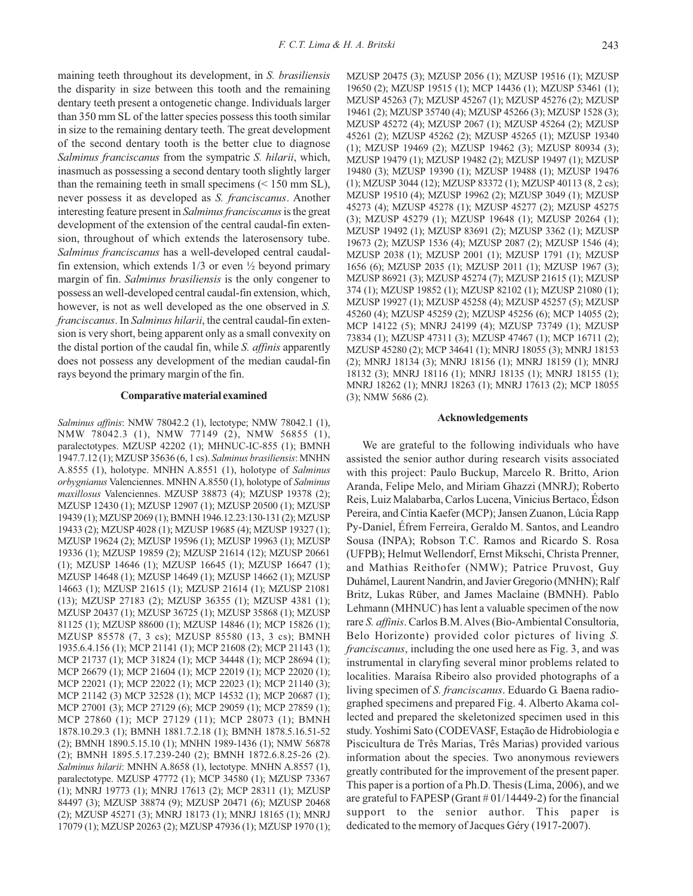maining teeth throughout its development, in *S. brasiliensis* the disparity in size between this tooth and the remaining dentary teeth present a ontogenetic change. Individuals larger than 350 mm SL of the latter species possess this tooth similar in size to the remaining dentary teeth. The great development of the second dentary tooth is the better clue to diagnose *Salminus franciscanus* from the sympatric *S. hilarii*, which, inasmuch as possessing a second dentary tooth slightly larger than the remaining teeth in small specimens  $(< 150$  mm SL), never possess it as developed as *S. franciscanus*. Another interesting feature present in *Salminus franciscanus* is the great development of the extension of the central caudal-fin extension, throughout of which extends the laterosensory tube. *Salminus franciscanus* has a well-developed central caudalfin extension, which extends  $1/3$  or even  $\frac{1}{2}$  beyond primary margin of fin. *Salminus brasiliensis* is the only congener to possess an well-developed central caudal-fin extension, which, however, is not as well developed as the one observed in *S. franciscanus*. In *Salminus hilarii*, the central caudal-fin extension is very short, being apparent only as a small convexity on the distal portion of the caudal fin, while *S. affinis* apparently does not possess any development of the median caudal-fin rays beyond the primary margin of the fin.

### **Comparative material examined**

*Salminus affinis*: NMW 78042.2 (1), lectotype; NMW 78042.1 (1), NMW 78042.3 (1), NMW 77149 (2), NMW 56855 (1), paralectotypes. MZUSP 42202 (1); MHNUC-IC-855 (1); BMNH 1947.7.12 (1); MZUSP 35636 (6, 1 cs). *Salminus brasiliensis*: MNHN A.8555 (1), holotype. MNHN A.8551 (1), holotype of *Salminus orbygnianus* Valenciennes. MNHN A.8550 (1), holotype of *Salminus maxillosus* Valenciennes. MZUSP 38873 (4); MZUSP 19378 (2); MZUSP 12430 (1); MZUSP 12907 (1); MZUSP 20500 (1); MZUSP 19439 (1); MZUSP 2069 (1); BMNH 1946.12.23:130-131 (2); MZUSP 19433 (2); MZUSP 4028 (1); MZUSP 19685 (4); MZUSP 19327 (1); MZUSP 19624 (2); MZUSP 19596 (1); MZUSP 19963 (1); MZUSP 19336 (1); MZUSP 19859 (2); MZUSP 21614 (12); MZUSP 20661 (1); MZUSP 14646 (1); MZUSP 16645 (1); MZUSP 16647 (1); MZUSP 14648 (1); MZUSP 14649 (1); MZUSP 14662 (1); MZUSP 14663 (1); MZUSP 21615 (1); MZUSP 21614 (1); MZUSP 21081 (13); MZUSP 27183 (2); MZUSP 36355 (1); MZUSP 4381 (1); MZUSP 20437 (1); MZUSP 36725 (1); MZUSP 35868 (1); MZUSP 81125 (1); MZUSP 88600 (1); MZUSP 14846 (1); MCP 15826 (1); MZUSP 85578 (7, 3 cs); MZUSP 85580 (13, 3 cs); BMNH 1935.6.4.156 (1); MCP 21141 (1); MCP 21608 (2); MCP 21143 (1); MCP 21737 (1); MCP 31824 (1); MCP 34448 (1); MCP 28694 (1); MCP 26679 (1); MCP 21604 (1); MCP 22019 (1); MCP 22020 (1); MCP 22021 (1); MCP 22022 (1); MCP 22023 (1); MCP 21140 (3); MCP 21142 (3) MCP 32528 (1); MCP 14532 (1); MCP 20687 (1); MCP 27001 (3); MCP 27129 (6); MCP 29059 (1); MCP 27859 (1); MCP 27860 (1); MCP 27129 (11); MCP 28073 (1); BMNH 1878.10.29.3 (1); BMNH 1881.7.2.18 (1); BMNH 1878.5.16.51-52 (2); BMNH 1890.5.15.10 (1); MNHN 1989-1436 (1); NMW 56878 (2); BMNH 1895.5.17.239-240 (2); BMNH 1872.6.8.25-26 (2). *Salminus hilarii*: MNHN A.8658 (1), lectotype. MNHN A.8557 (1), paralectotype. MZUSP 47772 (1); MCP 34580 (1); MZUSP 73367 (1); MNRJ 19773 (1); MNRJ 17613 (2); MCP 28311 (1); MZUSP 84497 (3); MZUSP 38874 (9); MZUSP 20471 (6); MZUSP 20468 (2); MZUSP 45271 (3); MNRJ 18173 (1); MNRJ 18165 (1); MNRJ 17079 (1); MZUSP 20263 (2); MZUSP 47936 (1); MZUSP 1970 (1);

MZUSP 20475 (3); MZUSP 2056 (1); MZUSP 19516 (1); MZUSP 19650 (2); MZUSP 19515 (1); MCP 14436 (1); MZUSP 53461 (1); MZUSP 45263 (7); MZUSP 45267 (1); MZUSP 45276 (2); MZUSP 19461 (2); MZUSP 35740 (4); MZUSP 45266 (3); MZUSP 1528 (3); MZUSP 45272 (4); MZUSP 2067 (1); MZUSP 45264 (2); MZUSP 45261 (2); MZUSP 45262 (2); MZUSP 45265 (1); MZUSP 19340 (1); MZUSP 19469 (2); MZUSP 19462 (3); MZUSP 80934 (3); MZUSP 19479 (1); MZUSP 19482 (2); MZUSP 19497 (1); MZUSP 19480 (3); MZUSP 19390 (1); MZUSP 19488 (1); MZUSP 19476 (1); MZUSP 3044 (12); MZUSP 83372 (1); MZUSP 40113 (8, 2 cs); MZUSP 19510 (4); MZUSP 19962 (2); MZUSP 3049 (1); MZUSP 45273 (4); MZUSP 45278 (1); MZUSP 45277 (2); MZUSP 45275 (3); MZUSP 45279 (1); MZUSP 19648 (1); MZUSP 20264 (1); MZUSP 19492 (1); MZUSP 83691 (2); MZUSP 3362 (1); MZUSP 19673 (2); MZUSP 1536 (4); MZUSP 2087 (2); MZUSP 1546 (4); MZUSP 2038 (1); MZUSP 2001 (1); MZUSP 1791 (1); MZUSP 1656 (6); MZUSP 2035 (1); MZUSP 2011 (1); MZUSP 1967 (3); MZUSP 86921 (3); MZUSP 45274 (7); MZUSP 21615 (1); MZUSP 374 (1); MZUSP 19852 (1); MZUSP 82102 (1); MZUSP 21080 (1); MZUSP 19927 (1); MZUSP 45258 (4); MZUSP 45257 (5); MZUSP 45260 (4); MZUSP 45259 (2); MZUSP 45256 (6); MCP 14055 (2); MCP 14122 (5); MNRJ 24199 (4); MZUSP 73749 (1); MZUSP 73834 (1); MZUSP 47311 (3); MZUSP 47467 (1); MCP 16711 (2); MZUSP 45280 (2); MCP 34641 (1); MNRJ 18055 (3); MNRJ 18153 (2); MNRJ 18134 (3); MNRJ 18156 (1); MNRJ 18159 (1); MNRJ 18132 (3); MNRJ 18116 (1); MNRJ 18135 (1); MNRJ 18155 (1); MNRJ 18262 (1); MNRJ 18263 (1); MNRJ 17613 (2); MCP 18055 (3); NMW 5686 (2).

#### **Acknowledgements**

We are grateful to the following individuals who have assisted the senior author during research visits associated with this project: Paulo Buckup, Marcelo R. Britto, Arion Aranda, Felipe Melo, and Miriam Ghazzi (MNRJ); Roberto Reis, Luiz Malabarba, Carlos Lucena, Vinicius Bertaco, Édson Pereira, and Cíntia Kaefer (MCP); Jansen Zuanon, Lúcia Rapp Py-Daniel, Éfrem Ferreira, Geraldo M. Santos, and Leandro Sousa (INPA); Robson T.C. Ramos and Ricardo S. Rosa (UFPB); Helmut Wellendorf, Ernst Mikschi, Christa Prenner, and Mathias Reithofer (NMW); Patrice Pruvost, Guy Duhámel, Laurent Nandrin, and Javier Gregorio (MNHN); Ralf Britz, Lukas Rüber, and James Maclaine (BMNH). Pablo Lehmann (MHNUC) has lent a valuable specimen of the now rare *S. affinis*. Carlos B.M. Alves (Bio-Ambiental Consultoria, Belo Horizonte) provided color pictures of living *S. franciscanus*, including the one used here as Fig. 3, and was instrumental in claryfing several minor problems related to localities. Maraísa Ribeiro also provided photographs of a living specimen of *S. franciscanus*. Eduardo G. Baena radiographed specimens and prepared Fig. 4. Alberto Akama collected and prepared the skeletonized specimen used in this study. Yoshimi Sato (CODEVASF, Estação de Hidrobiologia e Piscicultura de Três Marias, Três Marias) provided various information about the species. Two anonymous reviewers greatly contributed for the improvement of the present paper. This paper is a portion of a Ph.D. Thesis (Lima, 2006), and we are grateful to FAPESP (Grant # 01/14449-2) for the financial support to the senior author. This paper is dedicated to the memory of Jacques Géry (1917-2007).